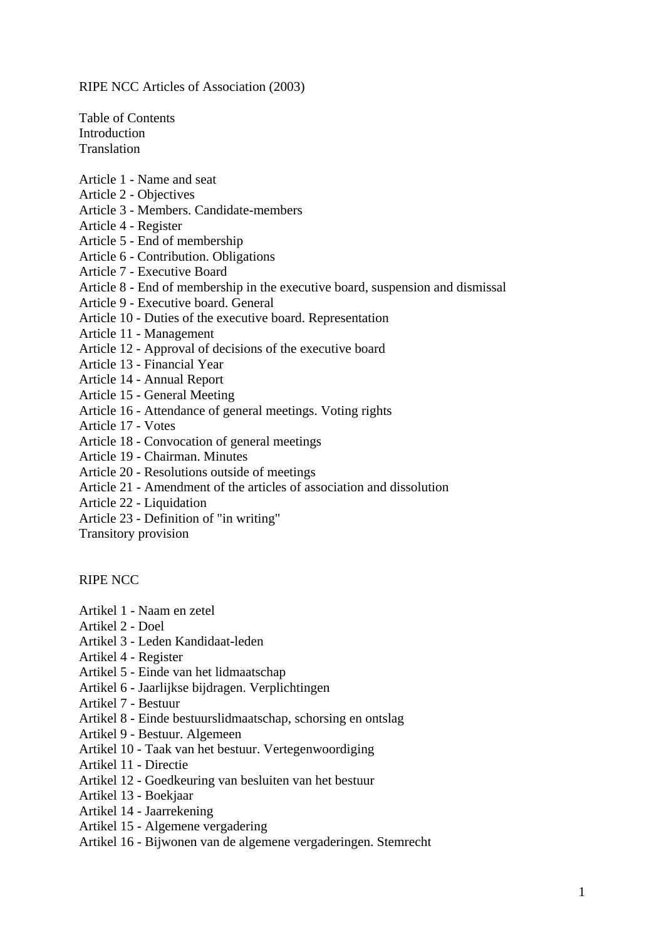<span id="page-0-0"></span>RIPE NCC Articles of Association (2003)

Table of Contents [Introduction](#page-0-0)  [Translation](#page-0-0) 

- [Article 1 Name and seat](#page-0-0)
- [Article 2 Objectives](#page-0-0)
- [Article 3 Members. Candidate-members](#page-0-0)
- [Article 4 Register](#page-0-0)
- [Article 5 End of membership](#page-0-0)
- [Article 6 Contribution. Obligations](#page-0-0)
- [Article 7 Executive Board](#page-0-0)
- Article 8 End of membership in the [executive board, suspension and dismissal](#page-0-0)
- [Article 9 Executive board. General](#page-0-0)
- [Article 10 Duties of the executive board. Representation](#page-0-0)
- [Article 11 Management](#page-0-0)
- [Article 12 Approval of decisions of the executive board](#page-0-0)
- [Article 13 Financial Year](#page-0-0)
- [Article 14 Annual Report](#page-0-0)
- [Article 15 General Meeting](#page-0-0)
- [Article 16 Attendance of general meetings. Voting rights](#page-0-0)
- [Article 17 Votes](#page-0-0)
- [Article 18 Convocation of general meetings](#page-0-0)
- [Article 19 Chairman. Minutes](#page-0-0)
- [Article 20 Resolutions outside of meetings](#page-0-0)
- [Article 21 Amendment of the articles of association and dissolution](#page-0-0)
- [Article 22 Liquidation](#page-0-0)
- [Article 23 Definition of "in writing"](#page-0-0)
- [Transitory provision](#page-0-0)

[RIPE NCC](#page-0-0) 

- [Artikel 1 Naam en zetel](#page-0-0)
- [Artikel 2 Doel](#page-0-0)
- [Artikel 3 Leden Kandidaat-leden](#page-0-0)
- [Artikel 4 Register](#page-0-0)
- [Artikel 5 Einde van het lidmaatschap](#page-0-0)
- [Artikel 6 Jaarlijkse bijdragen. Verplichtingen](#page-0-0)
- [Artikel 7 Bestuur](#page-0-0)
- [Artikel 8 Einde bestuurslidmaatschap, schorsing en ontslag](#page-0-0)
- [Artikel 9 Bestuur. Algemeen](#page-0-0)
- [Artikel 10 Taak van het bestuur. Vertegenwoordiging](#page-0-0)
- [Artikel 11 Directie](#page-0-0)
- [Artikel 12 Goedkeuring van besluiten van het bestuur](#page-0-0)
- [Artikel 13 Boekjaar](#page-0-0)
- [Artikel 14 Jaarrekening](#page-0-0)
- [Artikel 15 Algemene vergadering](#page-0-0)
- [Artikel 16 Bijwonen van de algemene vergaderingen. Stemrecht](#page-0-0)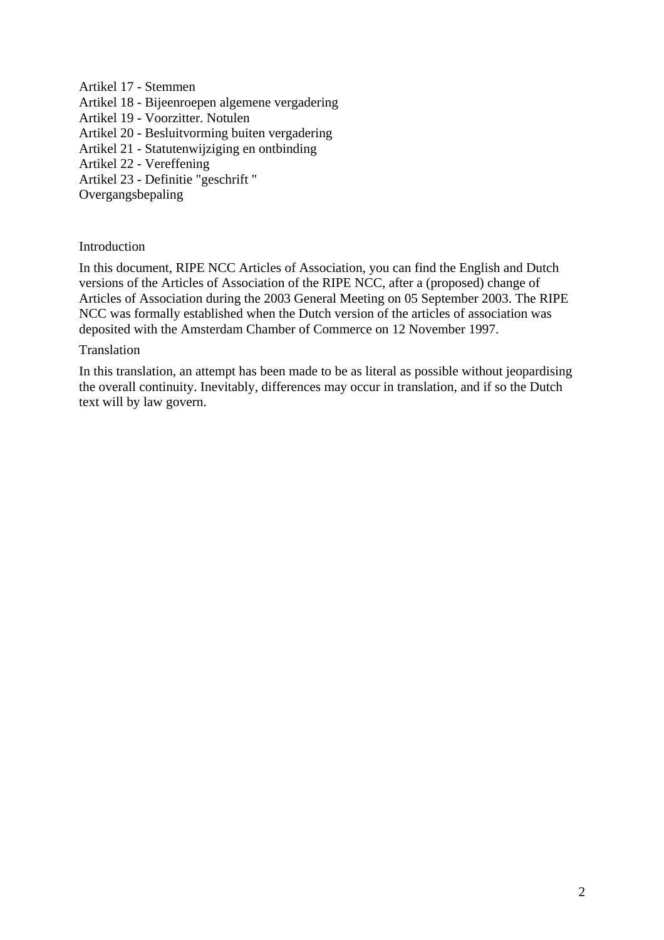[Artikel 17 - Stemmen](#page-0-0) 

[Artikel 18 - Bijeenroepen algemene vergadering](#page-0-0) 

[Artikel 19 - Voorzitter. Notulen](#page-0-0) 

[Artikel 20 - Besluitvorming buiten vergadering](#page-0-0) 

[Artikel 21 - Statutenwijziging en ontbinding](#page-0-0) 

[Artikel 22 - Vereffening](#page-0-0) 

[Artikel 23 - Definitie "geschrift "](#page-0-0) 

[Overgangsbepaling](#page-0-0)

### Introduction

In this document, RIPE NCC Articles of Association, you can find the English and Dutch versions of the Articles of Association of the RIPE NCC, after a (proposed) change of Articles of Association during the 2003 General Meeting on 05 September 2003. The RIPE NCC was formally established when the Dutch version of the articles of association was deposited with the Amsterdam Chamber of Commerce on 12 November 1997.

#### Translation

In this translation, an attempt has been made to be as literal as possible without jeopardising the overall continuity. Inevitably, differences may occur in translation, and if so the Dutch text will by law govern.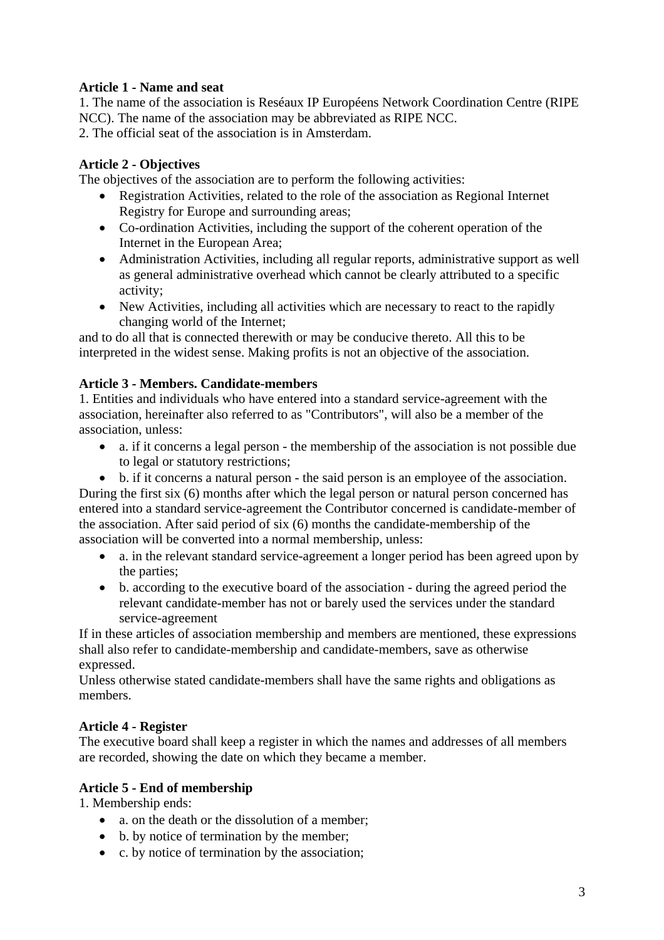## **Article 1 - Name and seat**

1. The name of the association is Reséaux IP Européens Network Coordination Centre (RIPE NCC). The name of the association may be abbreviated as RIPE NCC. 2. The official seat of the association is in Amsterdam.

**Article 2 - Objectives** 

The objectives of the association are to perform the following activities:

- Registration Activities, related to the role of the association as Regional Internet Registry for Europe and surrounding areas;
- Co-ordination Activities, including the support of the coherent operation of the Internet in the European Area;
- Administration Activities, including all regular reports, administrative support as well as general administrative overhead which cannot be clearly attributed to a specific activity;
- New Activities, including all activities which are necessary to react to the rapidly changing world of the Internet;

and to do all that is connected therewith or may be conducive thereto. All this to be interpreted in the widest sense. Making profits is not an objective of the association.

## **Article 3 - Members. Candidate-members**

1. Entities and individuals who have entered into a standard service-agreement with the association, hereinafter also referred to as "Contributors", will also be a member of the association, unless:

- a. if it concerns a legal person the membership of the association is not possible due to legal or statutory restrictions;
- b. if it concerns a natural person the said person is an employee of the association.

During the first six (6) months after which the legal person or natural person concerned has entered into a standard service-agreement the Contributor concerned is candidate-member of the association. After said period of six (6) months the candidate-membership of the association will be converted into a normal membership, unless:

- a. in the relevant standard service-agreement a longer period has been agreed upon by the parties;
- b. according to the executive board of the association during the agreed period the relevant candidate-member has not or barely used the services under the standard service-agreement

If in these articles of association membership and members are mentioned, these expressions shall also refer to candidate-membership and candidate-members, save as otherwise expressed.

Unless otherwise stated candidate-members shall have the same rights and obligations as members.

## **Article 4 - Register**

The executive board shall keep a register in which the names and addresses of all members are recorded, showing the date on which they became a member.

# **Article 5 - End of membership**

1. Membership ends:

- a. on the death or the dissolution of a member;
- b. by notice of termination by the member;
- c. by notice of termination by the association;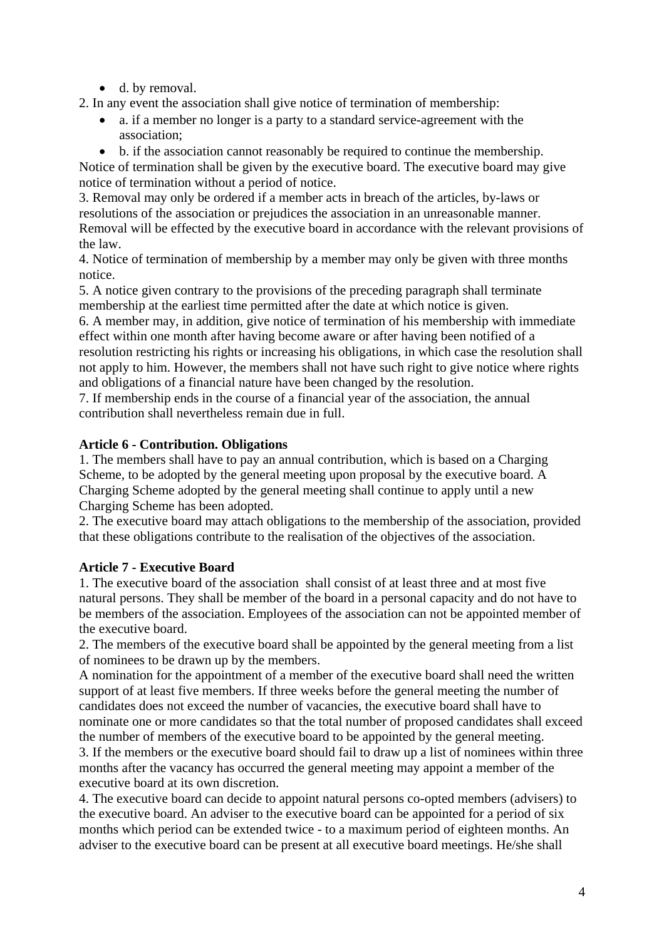- d. by removal.
- 2. In any event the association shall give notice of termination of membership:
	- a. if a member no longer is a party to a standard service-agreement with the association;
	- b. if the association cannot reasonably be required to continue the membership.

Notice of termination shall be given by the executive board. The executive board may give notice of termination without a period of notice.

3. Removal may only be ordered if a member acts in breach of the articles, by-laws or resolutions of the association or prejudices the association in an unreasonable manner. Removal will be effected by the executive board in accordance with the relevant provisions of the law.

4. Notice of termination of membership by a member may only be given with three months notice.

5. A notice given contrary to the provisions of the preceding paragraph shall terminate membership at the earliest time permitted after the date at which notice is given.

6. A member may, in addition, give notice of termination of his membership with immediate effect within one month after having become aware or after having been notified of a resolution restricting his rights or increasing his obligations, in which case the resolution shall not apply to him. However, the members shall not have such right to give notice where rights and obligations of a financial nature have been changed by the resolution.

7. If membership ends in the course of a financial year of the association, the annual contribution shall nevertheless remain due in full.

## **Article 6 - Contribution. Obligations**

1. The members shall have to pay an annual contribution, which is based on a Charging Scheme, to be adopted by the general meeting upon proposal by the executive board. A Charging Scheme adopted by the general meeting shall continue to apply until a new Charging Scheme has been adopted.

2. The executive board may attach obligations to the membership of the association, provided that these obligations contribute to the realisation of the objectives of the association.

# **Article 7 - Executive Board**

1. The executive board of the association shall consist of at least three and at most five natural persons. They shall be member of the board in a personal capacity and do not have to be members of the association. Employees of the association can not be appointed member of the executive board.

2. The members of the executive board shall be appointed by the general meeting from a list of nominees to be drawn up by the members.

A nomination for the appointment of a member of the executive board shall need the written support of at least five members. If three weeks before the general meeting the number of candidates does not exceed the number of vacancies, the executive board shall have to nominate one or more candidates so that the total number of proposed candidates shall exceed the number of members of the executive board to be appointed by the general meeting.

3. If the members or the executive board should fail to draw up a list of nominees within three months after the vacancy has occurred the general meeting may appoint a member of the executive board at its own discretion.

4. The executive board can decide to appoint natural persons co-opted members (advisers) to the executive board. An adviser to the executive board can be appointed for a period of six months which period can be extended twice - to a maximum period of eighteen months. An adviser to the executive board can be present at all executive board meetings. He/she shall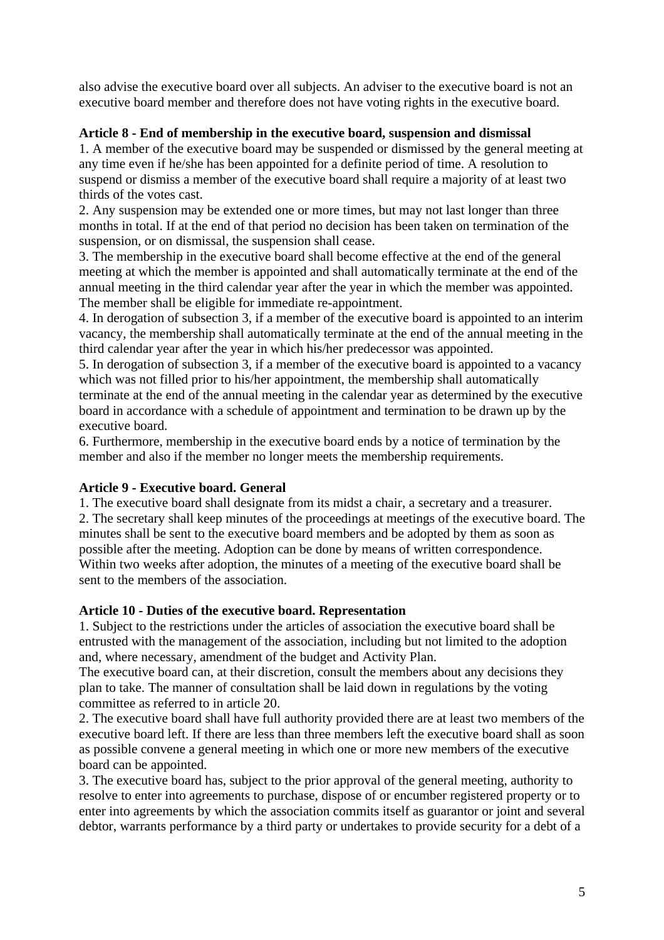also advise the executive board over all subjects. An adviser to the executive board is not an executive board member and therefore does not have voting rights in the executive board.

## **Article 8 - End of membership in the executive board, suspension and dismissal**

1. A member of the executive board may be suspended or dismissed by the general meeting at any time even if he/she has been appointed for a definite period of time. A resolution to suspend or dismiss a member of the executive board shall require a majority of at least two thirds of the votes cast.

2. Any suspension may be extended one or more times, but may not last longer than three months in total. If at the end of that period no decision has been taken on termination of the suspension, or on dismissal, the suspension shall cease.

3. The membership in the executive board shall become effective at the end of the general meeting at which the member is appointed and shall automatically terminate at the end of the annual meeting in the third calendar year after the year in which the member was appointed. The member shall be eligible for immediate re-appointment.

4. In derogation of subsection 3, if a member of the executive board is appointed to an interim vacancy, the membership shall automatically terminate at the end of the annual meeting in the third calendar year after the year in which his/her predecessor was appointed.

5. In derogation of subsection 3, if a member of the executive board is appointed to a vacancy which was not filled prior to his/her appointment, the membership shall automatically terminate at the end of the annual meeting in the calendar year as determined by the executive board in accordance with a schedule of appointment and termination to be drawn up by the executive board.

6. Furthermore, membership in the executive board ends by a notice of termination by the member and also if the member no longer meets the membership requirements.

## **Article 9 - Executive board. General**

1. The executive board shall designate from its midst a chair, a secretary and a treasurer. 2. The secretary shall keep minutes of the proceedings at meetings of the executive board. The minutes shall be sent to the executive board members and be adopted by them as soon as possible after the meeting. Adoption can be done by means of written correspondence. Within two weeks after adoption, the minutes of a meeting of the executive board shall be sent to the members of the association.

## **Article 10 - Duties of the executive board. Representation**

1. Subject to the restrictions under the articles of association the executive board shall be entrusted with the management of the association, including but not limited to the adoption and, where necessary, amendment of the budget and Activity Plan.

The executive board can, at their discretion, consult the members about any decisions they plan to take. The manner of consultation shall be laid down in regulations by the voting committee as referred to in article 20.

2. The executive board shall have full authority provided there are at least two members of the executive board left. If there are less than three members left the executive board shall as soon as possible convene a general meeting in which one or more new members of the executive board can be appointed.

3. The executive board has, subject to the prior approval of the general meeting, authority to resolve to enter into agreements to purchase, dispose of or encumber registered property or to enter into agreements by which the association commits itself as guarantor or joint and several debtor, warrants performance by a third party or undertakes to provide security for a debt of a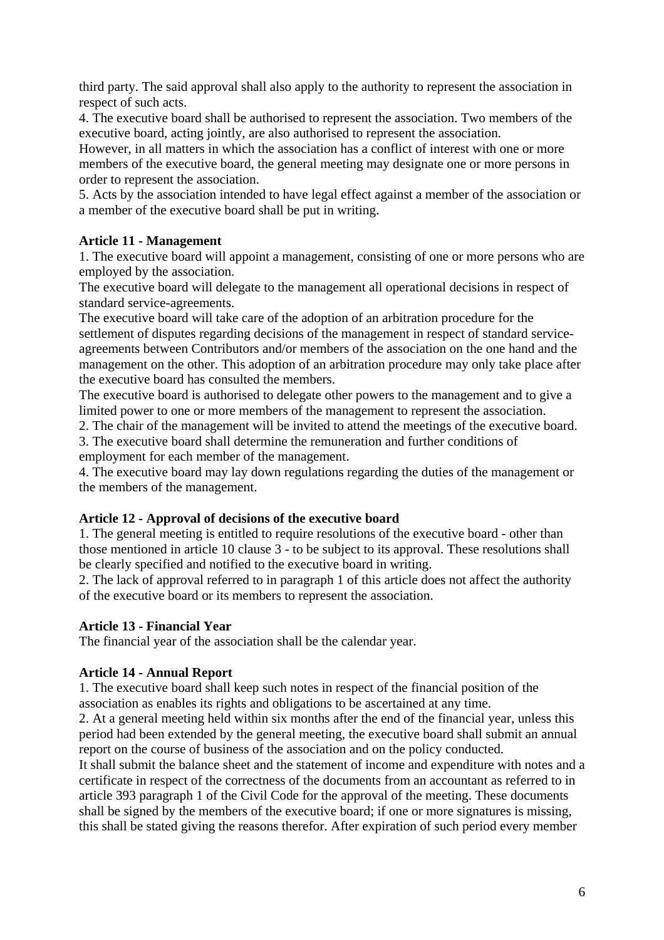third party. The said approval shall also apply to the authority to represent the association in respect of such acts.

4. The executive board shall be authorised to represent the association. Two members of the executive board, acting jointly, are also authorised to represent the association.

However, in all matters in which the association has a conflict of interest with one or more members of the executive board, the general meeting may designate one or more persons in order to represent the association.

5. Acts by the association intended to have legal effect against a member of the association or a member of the executive board shall be put in writing.

## **Article 11 - Management**

1. The executive board will appoint a management, consisting of one or more persons who are employed by the association.

The executive board will delegate to the management all operational decisions in respect of standard service-agreements.

The executive board will take care of the adoption of an arbitration procedure for the settlement of disputes regarding decisions of the management in respect of standard serviceagreements between Contributors and/or members of the association on the one hand and the management on the other. This adoption of an arbitration procedure may only take place after the executive board has consulted the members.

The executive board is authorised to delegate other powers to the management and to give a limited power to one or more members of the management to represent the association.

2. The chair of the management will be invited to attend the meetings of the executive board.

3. The executive board shall determine the remuneration and further conditions of employment for each member of the management.

4. The executive board may lay down regulations regarding the duties of the management or the members of the management.

## **Article 12 - Approval of decisions of the executive board**

1. The general meeting is entitled to require resolutions of the executive board - other than those mentioned in article 10 clause 3 - to be subject to its approval. These resolutions shall be clearly specified and notified to the executive board in writing.

2. The lack of approval referred to in paragraph 1 of this article does not affect the authority of the executive board or its members to represent the association.

# **Article 13 - Financial Year**

The financial year of the association shall be the calendar year.

## **Article 14 - Annual Report**

1. The executive board shall keep such notes in respect of the financial position of the association as enables its rights and obligations to be ascertained at any time.

2. At a general meeting held within six months after the end of the financial year, unless this period had been extended by the general meeting, the executive board shall submit an annual report on the course of business of the association and on the policy conducted.

It shall submit the balance sheet and the statement of income and expenditure with notes and a certificate in respect of the correctness of the documents from an accountant as referred to in article 393 paragraph 1 of the Civil Code for the approval of the meeting. These documents shall be signed by the members of the executive board; if one or more signatures is missing, this shall be stated giving the reasons therefor. After expiration of such period every member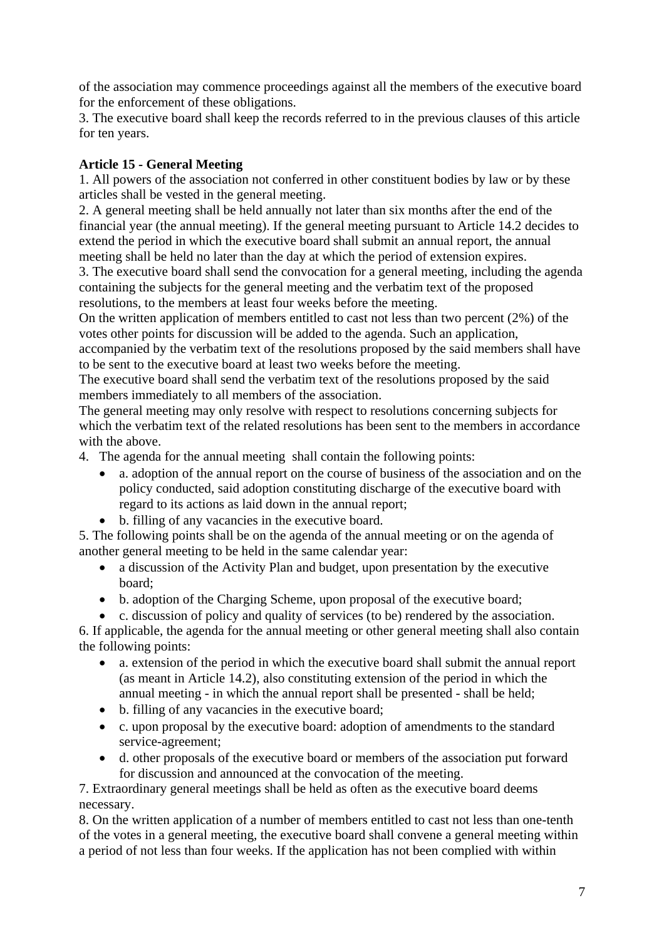of the association may commence proceedings against all the members of the executive board for the enforcement of these obligations.

3. The executive board shall keep the records referred to in the previous clauses of this article for ten years.

# **Article 15 - General Meeting**

1. All powers of the association not conferred in other constituent bodies by law or by these articles shall be vested in the general meeting.

2. A general meeting shall be held annually not later than six months after the end of the financial year (the annual meeting). If the general meeting pursuant to Article 14.2 decides to extend the period in which the executive board shall submit an annual report, the annual meeting shall be held no later than the day at which the period of extension expires.

3. The executive board shall send the convocation for a general meeting, including the agenda containing the subjects for the general meeting and the verbatim text of the proposed resolutions, to the members at least four weeks before the meeting.

On the written application of members entitled to cast not less than two percent (2%) of the votes other points for discussion will be added to the agenda. Such an application,

accompanied by the verbatim text of the resolutions proposed by the said members shall have to be sent to the executive board at least two weeks before the meeting.

The executive board shall send the verbatim text of the resolutions proposed by the said members immediately to all members of the association.

The general meeting may only resolve with respect to resolutions concerning subjects for which the verbatim text of the related resolutions has been sent to the members in accordance with the above.

4. The agenda for the annual meeting shall contain the following points:

- a. adoption of the annual report on the course of business of the association and on the policy conducted, said adoption constituting discharge of the executive board with regard to its actions as laid down in the annual report;
- b. filling of any vacancies in the executive board.

5. The following points shall be on the agenda of the annual meeting or on the agenda of another general meeting to be held in the same calendar year:

- a discussion of the Activity Plan and budget, upon presentation by the executive board;
- b. adoption of the Charging Scheme, upon proposal of the executive board;
- c. discussion of policy and quality of services (to be) rendered by the association.

6. If applicable, the agenda for the annual meeting or other general meeting shall also contain the following points:

- a. extension of the period in which the executive board shall submit the annual report (as meant in Article 14.2), also constituting extension of the period in which the annual meeting - in which the annual report shall be presented - shall be held;
- b. filling of any vacancies in the executive board;
- c. upon proposal by the executive board: adoption of amendments to the standard service-agreement;
- d. other proposals of the executive board or members of the association put forward for discussion and announced at the convocation of the meeting.

7. Extraordinary general meetings shall be held as often as the executive board deems necessary.

8. On the written application of a number of members entitled to cast not less than one-tenth of the votes in a general meeting, the executive board shall convene a general meeting within a period of not less than four weeks. If the application has not been complied with within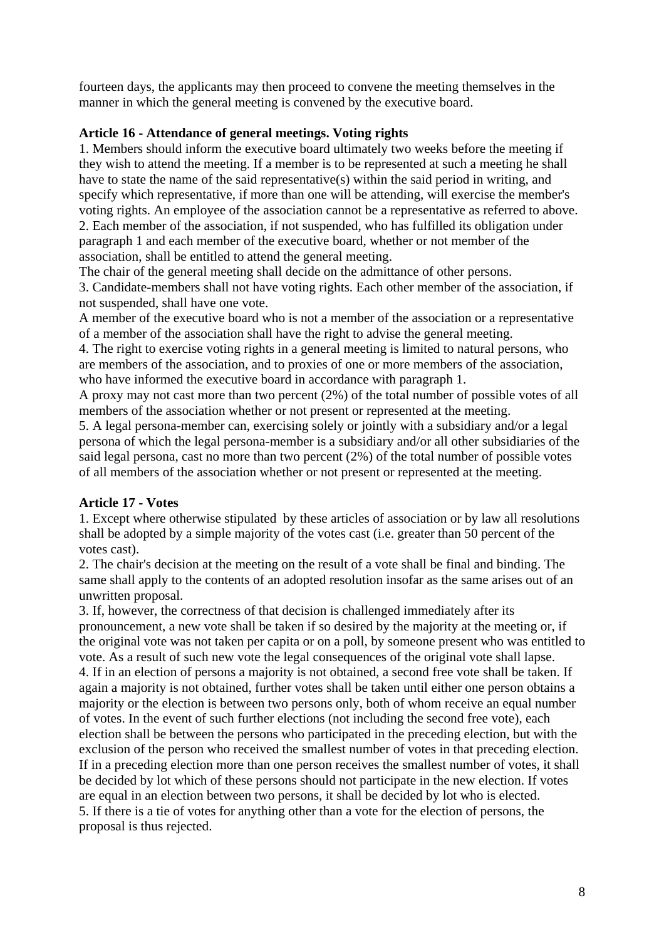fourteen days, the applicants may then proceed to convene the meeting themselves in the manner in which the general meeting is convened by the executive board.

## **Article 16 - Attendance of general meetings. Voting rights**

1. Members should inform the executive board ultimately two weeks before the meeting if they wish to attend the meeting. If a member is to be represented at such a meeting he shall have to state the name of the said representative(s) within the said period in writing, and specify which representative, if more than one will be attending, will exercise the member's voting rights. An employee of the association cannot be a representative as referred to above. 2. Each member of the association, if not suspended, who has fulfilled its obligation under paragraph 1 and each member of the executive board, whether or not member of the association, shall be entitled to attend the general meeting.

The chair of the general meeting shall decide on the admittance of other persons.

3. Candidate-members shall not have voting rights. Each other member of the association, if not suspended, shall have one vote.

A member of the executive board who is not a member of the association or a representative of a member of the association shall have the right to advise the general meeting.

4. The right to exercise voting rights in a general meeting is limited to natural persons, who are members of the association, and to proxies of one or more members of the association, who have informed the executive board in accordance with paragraph 1.

A proxy may not cast more than two percent (2%) of the total number of possible votes of all members of the association whether or not present or represented at the meeting.

5. A legal persona-member can, exercising solely or jointly with a subsidiary and/or a legal persona of which the legal persona-member is a subsidiary and/or all other subsidiaries of the said legal persona, cast no more than two percent (2%) of the total number of possible votes of all members of the association whether or not present or represented at the meeting.

## **Article 17 - Votes**

1. Except where otherwise stipulated by these articles of association or by law all resolutions shall be adopted by a simple majority of the votes cast (i.e. greater than 50 percent of the votes cast).

2. The chair's decision at the meeting on the result of a vote shall be final and binding. The same shall apply to the contents of an adopted resolution insofar as the same arises out of an unwritten proposal.

3. If, however, the correctness of that decision is challenged immediately after its pronouncement, a new vote shall be taken if so desired by the majority at the meeting or, if the original vote was not taken per capita or on a poll, by someone present who was entitled to vote. As a result of such new vote the legal consequences of the original vote shall lapse. 4. If in an election of persons a majority is not obtained, a second free vote shall be taken. If again a majority is not obtained, further votes shall be taken until either one person obtains a majority or the election is between two persons only, both of whom receive an equal number of votes. In the event of such further elections (not including the second free vote), each election shall be between the persons who participated in the preceding election, but with the exclusion of the person who received the smallest number of votes in that preceding election. If in a preceding election more than one person receives the smallest number of votes, it shall be decided by lot which of these persons should not participate in the new election. If votes are equal in an election between two persons, it shall be decided by lot who is elected. 5. If there is a tie of votes for anything other than a vote for the election of persons, the proposal is thus rejected.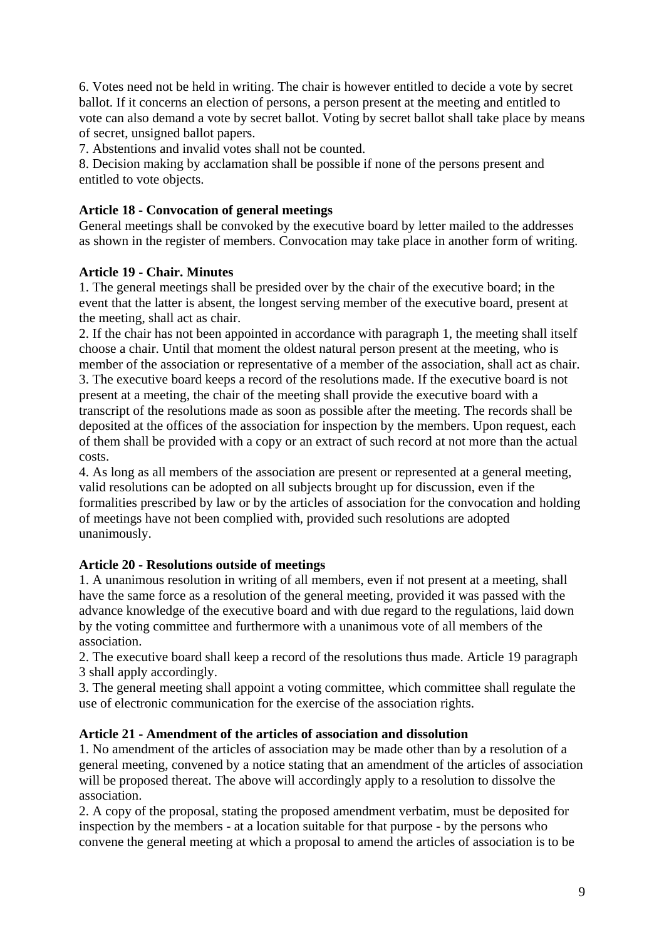6. Votes need not be held in writing. The chair is however entitled to decide a vote by secret ballot. If it concerns an election of persons, a person present at the meeting and entitled to vote can also demand a vote by secret ballot. Voting by secret ballot shall take place by means of secret, unsigned ballot papers.

7. Abstentions and invalid votes shall not be counted.

8. Decision making by acclamation shall be possible if none of the persons present and entitled to vote objects.

# **Article 18 - Convocation of general meetings**

General meetings shall be convoked by the executive board by letter mailed to the addresses as shown in the register of members. Convocation may take place in another form of writing.

# **Article 19 - Chair. Minutes**

1. The general meetings shall be presided over by the chair of the executive board; in the event that the latter is absent, the longest serving member of the executive board, present at the meeting, shall act as chair.

2. If the chair has not been appointed in accordance with paragraph 1, the meeting shall itself choose a chair. Until that moment the oldest natural person present at the meeting, who is member of the association or representative of a member of the association, shall act as chair. 3. The executive board keeps a record of the resolutions made. If the executive board is not present at a meeting, the chair of the meeting shall provide the executive board with a transcript of the resolutions made as soon as possible after the meeting. The records shall be deposited at the offices of the association for inspection by the members. Upon request, each of them shall be provided with a copy or an extract of such record at not more than the actual costs.

4. As long as all members of the association are present or represented at a general meeting, valid resolutions can be adopted on all subjects brought up for discussion, even if the formalities prescribed by law or by the articles of association for the convocation and holding of meetings have not been complied with, provided such resolutions are adopted unanimously.

# **Article 20 - Resolutions outside of meetings**

1. A unanimous resolution in writing of all members, even if not present at a meeting, shall have the same force as a resolution of the general meeting, provided it was passed with the advance knowledge of the executive board and with due regard to the regulations, laid down by the voting committee and furthermore with a unanimous vote of all members of the association.

2. The executive board shall keep a record of the resolutions thus made. Article 19 paragraph 3 shall apply accordingly.

3. The general meeting shall appoint a voting committee, which committee shall regulate the use of electronic communication for the exercise of the association rights.

# **Article 21 - Amendment of the articles of association and dissolution**

1. No amendment of the articles of association may be made other than by a resolution of a general meeting, convened by a notice stating that an amendment of the articles of association will be proposed thereat. The above will accordingly apply to a resolution to dissolve the association.

2. A copy of the proposal, stating the proposed amendment verbatim, must be deposited for inspection by the members - at a location suitable for that purpose - by the persons who convene the general meeting at which a proposal to amend the articles of association is to be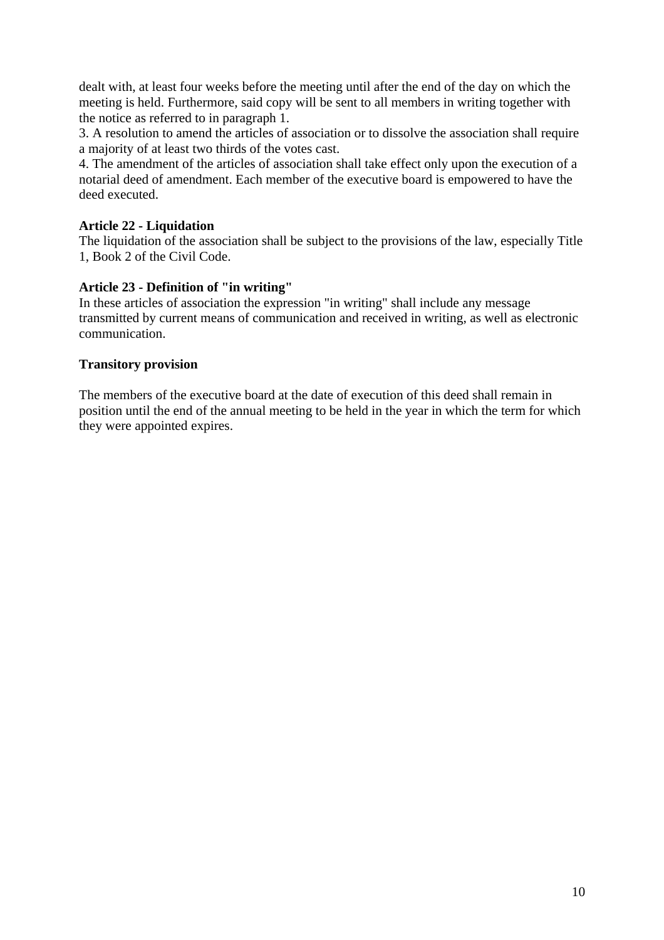dealt with, at least four weeks before the meeting until after the end of the day on which the meeting is held. Furthermore, said copy will be sent to all members in writing together with the notice as referred to in paragraph 1.

3. A resolution to amend the articles of association or to dissolve the association shall require a majority of at least two thirds of the votes cast.

4. The amendment of the articles of association shall take effect only upon the execution of a notarial deed of amendment. Each member of the executive board is empowered to have the deed executed.

## **Article 22 - Liquidation**

The liquidation of the association shall be subject to the provisions of the law, especially Title 1, Book 2 of the Civil Code.

## **Article 23 - Definition of "in writing"**

In these articles of association the expression "in writing" shall include any message transmitted by current means of communication and received in writing, as well as electronic communication.

## **Transitory provision**

The members of the executive board at the date of execution of this deed shall remain in position until the end of the annual meeting to be held in the year in which the term for which they were appointed expires.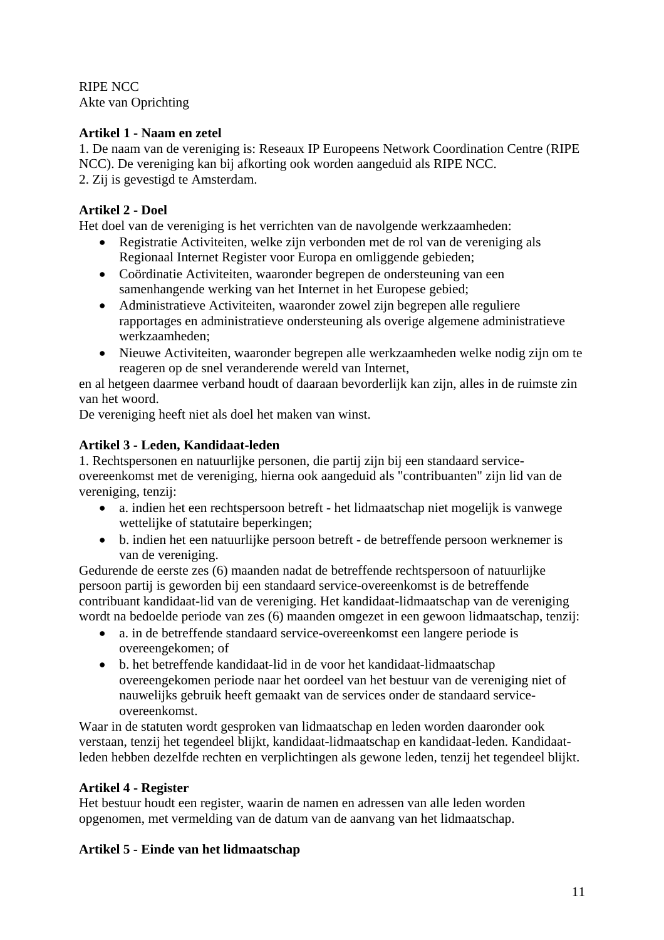RIPE NCC Akte van Oprichting

# **Artikel 1 - Naam en zetel**

1. De naam van de vereniging is: Reseaux IP Europeens Network Coordination Centre (RIPE NCC). De vereniging kan bij afkorting ook worden aangeduid als RIPE NCC. 2. Zij is gevestigd te Amsterdam.

# **Artikel 2 - Doel**

Het doel van de vereniging is het verrichten van de navolgende werkzaamheden:

- Registratie Activiteiten, welke zijn verbonden met de rol van de vereniging als Regionaal Internet Register voor Europa en omliggende gebieden;
- Coördinatie Activiteiten, waaronder begrepen de ondersteuning van een samenhangende werking van het Internet in het Europese gebied;
- Administratieve Activiteiten, waaronder zowel zijn begrepen alle reguliere rapportages en administratieve ondersteuning als overige algemene administratieve werkzaamheden;
- Nieuwe Activiteiten, waaronder begrepen alle werkzaamheden welke nodig zijn om te reageren op de snel veranderende wereld van Internet,

en al hetgeen daarmee verband houdt of daaraan bevorderlijk kan zijn, alles in de ruimste zin van het woord.

De vereniging heeft niet als doel het maken van winst.

# **Artikel 3 - Leden, Kandidaat-leden**

1. Rechtspersonen en natuurlijke personen, die partij zijn bij een standaard serviceovereenkomst met de vereniging, hierna ook aangeduid als "contribuanten" zijn lid van de vereniging, tenzij:

- a. indien het een rechtspersoon betreft het lidmaatschap niet mogelijk is vanwege wettelijke of statutaire beperkingen;
- b. indien het een natuurlijke persoon betreft de betreffende persoon werknemer is van de vereniging.

Gedurende de eerste zes (6) maanden nadat de betreffende rechtspersoon of natuurlijke persoon partij is geworden bij een standaard service-overeenkomst is de betreffende contribuant kandidaat-lid van de vereniging. Het kandidaat-lidmaatschap van de vereniging wordt na bedoelde periode van zes (6) maanden omgezet in een gewoon lidmaatschap, tenzij:

- a. in de betreffende standaard service-overeenkomst een langere periode is overeengekomen; of
- b. het betreffende kandidaat-lid in de voor het kandidaat-lidmaatschap overeengekomen periode naar het oordeel van het bestuur van de vereniging niet of nauwelijks gebruik heeft gemaakt van de services onder de standaard serviceovereenkomst.

Waar in de statuten wordt gesproken van lidmaatschap en leden worden daaronder ook verstaan, tenzij het tegendeel blijkt, kandidaat-lidmaatschap en kandidaat-leden. Kandidaatleden hebben dezelfde rechten en verplichtingen als gewone leden, tenzij het tegendeel blijkt.

# **Artikel 4 - Register**

Het bestuur houdt een register, waarin de namen en adressen van alle leden worden opgenomen, met vermelding van de datum van de aanvang van het lidmaatschap.

# **Artikel 5 - Einde van het lidmaatschap**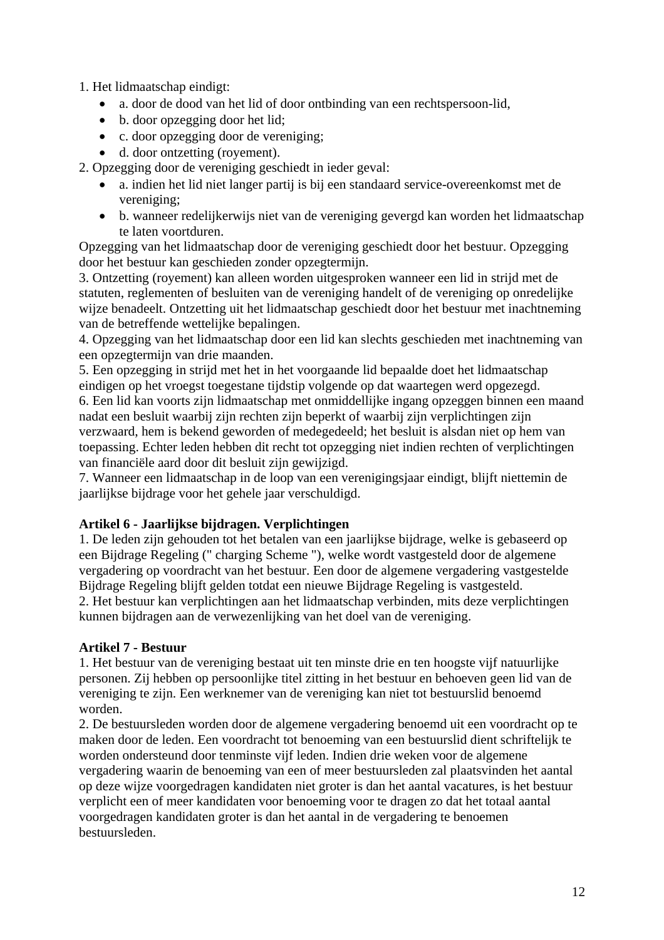1. Het lidmaatschap eindigt:

- a. door de dood van het lid of door ontbinding van een rechtspersoon-lid,
- b. door opzegging door het lid:
- c. door opzegging door de vereniging;
- d. door ontzetting (royement).

2. Opzegging door de vereniging geschiedt in ieder geval:

- a. indien het lid niet langer partij is bij een standaard service-overeenkomst met de vereniging;
- b. wanneer redelijkerwijs niet van de vereniging gevergd kan worden het lidmaatschap te laten voortduren.

Opzegging van het lidmaatschap door de vereniging geschiedt door het bestuur. Opzegging door het bestuur kan geschieden zonder opzegtermijn.

3. Ontzetting (royement) kan alleen worden uitgesproken wanneer een lid in strijd met de statuten, reglementen of besluiten van de vereniging handelt of de vereniging op onredelijke wijze benadeelt. Ontzetting uit het lidmaatschap geschiedt door het bestuur met inachtneming van de betreffende wettelijke bepalingen.

4. Opzegging van het lidmaatschap door een lid kan slechts geschieden met inachtneming van een opzegtermijn van drie maanden.

5. Een opzegging in strijd met het in het voorgaande lid bepaalde doet het lidmaatschap eindigen op het vroegst toegestane tijdstip volgende op dat waartegen werd opgezegd.

6. Een lid kan voorts zijn lidmaatschap met onmiddellijke ingang opzeggen binnen een maand nadat een besluit waarbij zijn rechten zijn beperkt of waarbij zijn verplichtingen zijn verzwaard, hem is bekend geworden of medegedeeld; het besluit is alsdan niet op hem van toepassing. Echter leden hebben dit recht tot opzegging niet indien rechten of verplichtingen van financiële aard door dit besluit zijn gewijzigd.

7. Wanneer een lidmaatschap in de loop van een verenigingsjaar eindigt, blijft niettemin de jaarlijkse bijdrage voor het gehele jaar verschuldigd.

# **Artikel 6 - Jaarlijkse bijdragen. Verplichtingen**

1. De leden zijn gehouden tot het betalen van een jaarlijkse bijdrage, welke is gebaseerd op een Bijdrage Regeling (" charging Scheme "), welke wordt vastgesteld door de algemene vergadering op voordracht van het bestuur. Een door de algemene vergadering vastgestelde Bijdrage Regeling blijft gelden totdat een nieuwe Bijdrage Regeling is vastgesteld. 2. Het bestuur kan verplichtingen aan het lidmaatschap verbinden, mits deze verplichtingen kunnen bijdragen aan de verwezenlijking van het doel van de vereniging.

# **Artikel 7 - Bestuur**

1. Het bestuur van de vereniging bestaat uit ten minste drie en ten hoogste vijf natuurlijke personen. Zij hebben op persoonlijke titel zitting in het bestuur en behoeven geen lid van de vereniging te zijn. Een werknemer van de vereniging kan niet tot bestuurslid benoemd worden.

2. De bestuursleden worden door de algemene vergadering benoemd uit een voordracht op te maken door de leden. Een voordracht tot benoeming van een bestuurslid dient schriftelijk te worden ondersteund door tenminste vijf leden. Indien drie weken voor de algemene vergadering waarin de benoeming van een of meer bestuursleden zal plaatsvinden het aantal op deze wijze voorgedragen kandidaten niet groter is dan het aantal vacatures, is het bestuur verplicht een of meer kandidaten voor benoeming voor te dragen zo dat het totaal aantal voorgedragen kandidaten groter is dan het aantal in de vergadering te benoemen bestuursleden.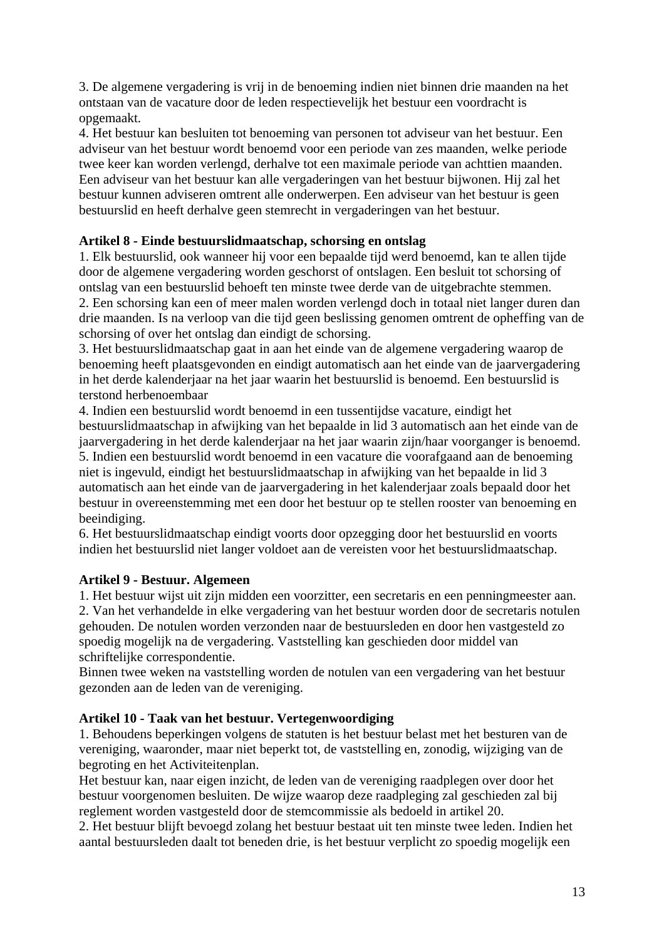3. De algemene vergadering is vrij in de benoeming indien niet binnen drie maanden na het ontstaan van de vacature door de leden respectievelijk het bestuur een voordracht is opgemaakt.

4. Het bestuur kan besluiten tot benoeming van personen tot adviseur van het bestuur. Een adviseur van het bestuur wordt benoemd voor een periode van zes maanden, welke periode twee keer kan worden verlengd, derhalve tot een maximale periode van achttien maanden. Een adviseur van het bestuur kan alle vergaderingen van het bestuur bijwonen. Hij zal het bestuur kunnen adviseren omtrent alle onderwerpen. Een adviseur van het bestuur is geen bestuurslid en heeft derhalve geen stemrecht in vergaderingen van het bestuur.

## **Artikel 8 - Einde bestuurslidmaatschap, schorsing en ontslag**

1. Elk bestuurslid, ook wanneer hij voor een bepaalde tijd werd benoemd, kan te allen tijde door de algemene vergadering worden geschorst of ontslagen. Een besluit tot schorsing of ontslag van een bestuurslid behoeft ten minste twee derde van de uitgebrachte stemmen.

2. Een schorsing kan een of meer malen worden verlengd doch in totaal niet langer duren dan drie maanden. Is na verloop van die tijd geen beslissing genomen omtrent de opheffing van de schorsing of over het ontslag dan eindigt de schorsing.

3. Het bestuurslidmaatschap gaat in aan het einde van de algemene vergadering waarop de benoeming heeft plaatsgevonden en eindigt automatisch aan het einde van de jaarvergadering in het derde kalenderjaar na het jaar waarin het bestuurslid is benoemd. Een bestuurslid is terstond herbenoembaar

4. Indien een bestuurslid wordt benoemd in een tussentijdse vacature, eindigt het bestuurslidmaatschap in afwijking van het bepaalde in lid 3 automatisch aan het einde van de jaarvergadering in het derde kalenderjaar na het jaar waarin zijn/haar voorganger is benoemd. 5. Indien een bestuurslid wordt benoemd in een vacature die voorafgaand aan de benoeming niet is ingevuld, eindigt het bestuurslidmaatschap in afwijking van het bepaalde in lid 3 automatisch aan het einde van de jaarvergadering in het kalenderjaar zoals bepaald door het bestuur in overeenstemming met een door het bestuur op te stellen rooster van benoeming en beeindiging.

6. Het bestuurslidmaatschap eindigt voorts door opzegging door het bestuurslid en voorts indien het bestuurslid niet langer voldoet aan de vereisten voor het bestuurslidmaatschap.

## **Artikel 9 - Bestuur. Algemeen**

1. Het bestuur wijst uit zijn midden een voorzitter, een secretaris en een penningmeester aan. 2. Van het verhandelde in elke vergadering van het bestuur worden door de secretaris notulen gehouden. De notulen worden verzonden naar de bestuursleden en door hen vastgesteld zo spoedig mogelijk na de vergadering. Vaststelling kan geschieden door middel van schriftelijke correspondentie.

Binnen twee weken na vaststelling worden de notulen van een vergadering van het bestuur gezonden aan de leden van de vereniging.

## **Artikel 10 - Taak van het bestuur. Vertegenwoordiging**

1. Behoudens beperkingen volgens de statuten is het bestuur belast met het besturen van de vereniging, waaronder, maar niet beperkt tot, de vaststelling en, zonodig, wijziging van de begroting en het Activiteitenplan.

Het bestuur kan, naar eigen inzicht, de leden van de vereniging raadplegen over door het bestuur voorgenomen besluiten. De wijze waarop deze raadpleging zal geschieden zal bij reglement worden vastgesteld door de stemcommissie als bedoeld in artikel 20.

2. Het bestuur blijft bevoegd zolang het bestuur bestaat uit ten minste twee leden. Indien het aantal bestuursleden daalt tot beneden drie, is het bestuur verplicht zo spoedig mogelijk een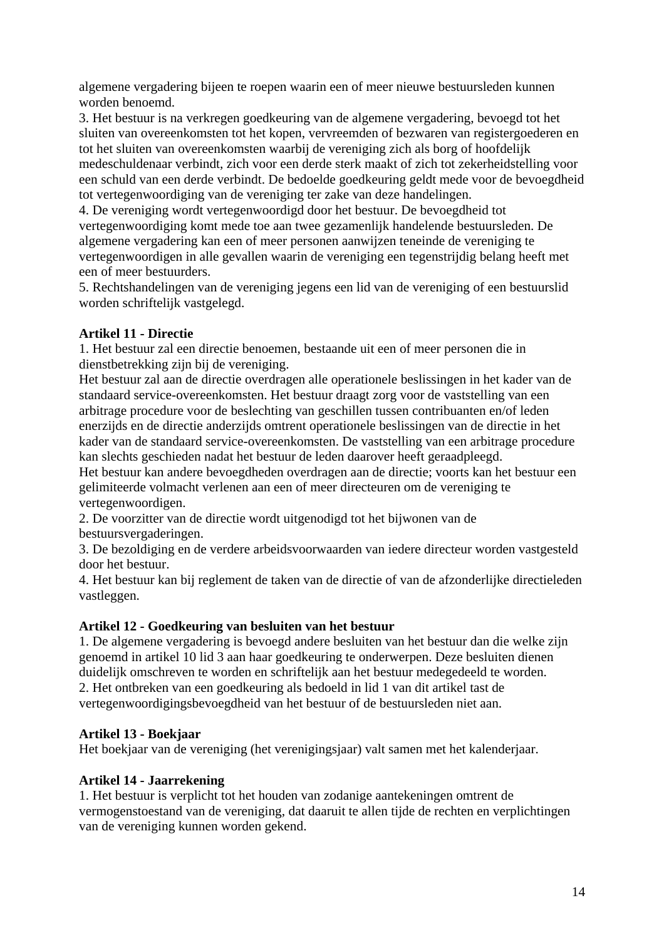algemene vergadering bijeen te roepen waarin een of meer nieuwe bestuursleden kunnen worden benoemd.

3. Het bestuur is na verkregen goedkeuring van de algemene vergadering, bevoegd tot het sluiten van overeenkomsten tot het kopen, vervreemden of bezwaren van registergoederen en tot het sluiten van overeenkomsten waarbij de vereniging zich als borg of hoofdelijk medeschuldenaar verbindt, zich voor een derde sterk maakt of zich tot zekerheidstelling voor een schuld van een derde verbindt. De bedoelde goedkeuring geldt mede voor de bevoegdheid tot vertegenwoordiging van de vereniging ter zake van deze handelingen.

4. De vereniging wordt vertegenwoordigd door het bestuur. De bevoegdheid tot vertegenwoordiging komt mede toe aan twee gezamenlijk handelende bestuursleden. De algemene vergadering kan een of meer personen aanwijzen teneinde de vereniging te vertegenwoordigen in alle gevallen waarin de vereniging een tegenstrijdig belang heeft met een of meer bestuurders.

5. Rechtshandelingen van de vereniging jegens een lid van de vereniging of een bestuurslid worden schriftelijk vastgelegd.

## **Artikel 11 - Directie**

1. Het bestuur zal een directie benoemen, bestaande uit een of meer personen die in dienstbetrekking zijn bij de vereniging.

Het bestuur zal aan de directie overdragen alle operationele beslissingen in het kader van de standaard service-overeenkomsten. Het bestuur draagt zorg voor de vaststelling van een arbitrage procedure voor de beslechting van geschillen tussen contribuanten en/of leden enerzijds en de directie anderzijds omtrent operationele beslissingen van de directie in het kader van de standaard service-overeenkomsten. De vaststelling van een arbitrage procedure kan slechts geschieden nadat het bestuur de leden daarover heeft geraadpleegd.

Het bestuur kan andere bevoegdheden overdragen aan de directie; voorts kan het bestuur een gelimiteerde volmacht verlenen aan een of meer directeuren om de vereniging te vertegenwoordigen.

2. De voorzitter van de directie wordt uitgenodigd tot het bijwonen van de bestuursvergaderingen.

3. De bezoldiging en de verdere arbeidsvoorwaarden van iedere directeur worden vastgesteld door het bestuur.

4. Het bestuur kan bij reglement de taken van de directie of van de afzonderlijke directieleden vastleggen.

## **Artikel 12 - Goedkeuring van besluiten van het bestuur**

1. De algemene vergadering is bevoegd andere besluiten van het bestuur dan die welke zijn genoemd in artikel 10 lid 3 aan haar goedkeuring te onderwerpen. Deze besluiten dienen duidelijk omschreven te worden en schriftelijk aan het bestuur medegedeeld te worden. 2. Het ontbreken van een goedkeuring als bedoeld in lid 1 van dit artikel tast de vertegenwoordigingsbevoegdheid van het bestuur of de bestuursleden niet aan.

## **Artikel 13 - Boekjaar**

Het boekjaar van de vereniging (het verenigingsjaar) valt samen met het kalenderjaar.

#### **Artikel 14 - Jaarrekening**

1. Het bestuur is verplicht tot het houden van zodanige aantekeningen omtrent de vermogenstoestand van de vereniging, dat daaruit te allen tijde de rechten en verplichtingen van de vereniging kunnen worden gekend.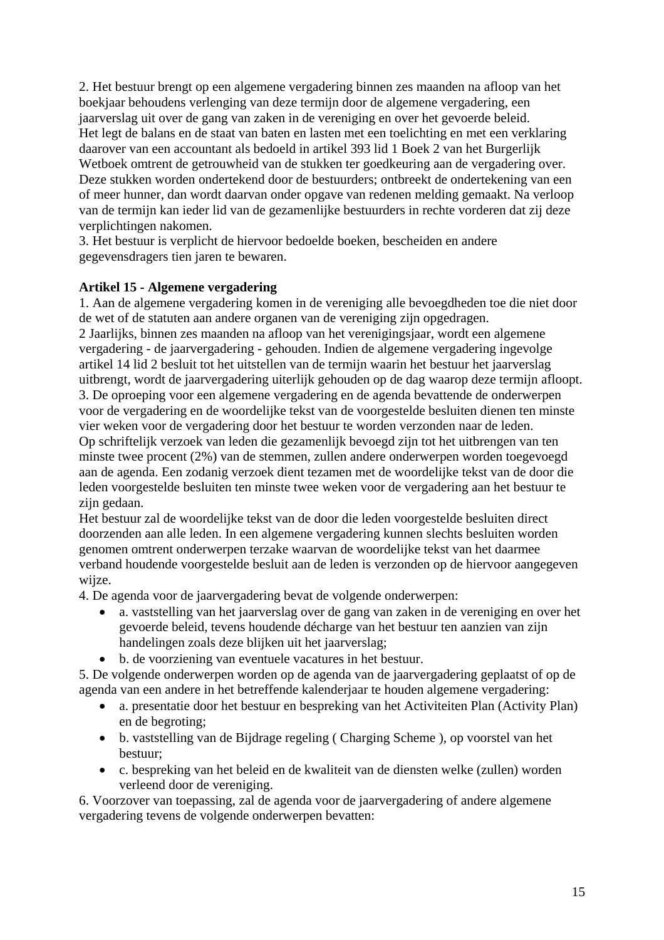2. Het bestuur brengt op een algemene vergadering binnen zes maanden na afloop van het boekjaar behoudens verlenging van deze termijn door de algemene vergadering, een jaarverslag uit over de gang van zaken in de vereniging en over het gevoerde beleid. Het legt de balans en de staat van baten en lasten met een toelichting en met een verklaring daarover van een accountant als bedoeld in artikel 393 lid 1 Boek 2 van het Burgerlijk Wetboek omtrent de getrouwheid van de stukken ter goedkeuring aan de vergadering over. Deze stukken worden ondertekend door de bestuurders; ontbreekt de ondertekening van een of meer hunner, dan wordt daarvan onder opgave van redenen melding gemaakt. Na verloop van de termijn kan ieder lid van de gezamenlijke bestuurders in rechte vorderen dat zij deze verplichtingen nakomen.

3. Het bestuur is verplicht de hiervoor bedoelde boeken, bescheiden en andere gegevensdragers tien jaren te bewaren.

## **Artikel 15 - Algemene vergadering**

1. Aan de algemene vergadering komen in de vereniging alle bevoegdheden toe die niet door de wet of de statuten aan andere organen van de vereniging zijn opgedragen. 2 Jaarlijks, binnen zes maanden na afloop van het verenigingsjaar, wordt een algemene vergadering - de jaarvergadering - gehouden. Indien de algemene vergadering ingevolge artikel 14 lid 2 besluit tot het uitstellen van de termijn waarin het bestuur het jaarverslag uitbrengt, wordt de jaarvergadering uiterlijk gehouden op de dag waarop deze termijn afloopt. 3. De oproeping voor een algemene vergadering en de agenda bevattende de onderwerpen voor de vergadering en de woordelijke tekst van de voorgestelde besluiten dienen ten minste vier weken voor de vergadering door het bestuur te worden verzonden naar de leden. Op schriftelijk verzoek van leden die gezamenlijk bevoegd zijn tot het uitbrengen van ten minste twee procent (2%) van de stemmen, zullen andere onderwerpen worden toegevoegd aan de agenda. Een zodanig verzoek dient tezamen met de woordelijke tekst van de door die leden voorgestelde besluiten ten minste twee weken voor de vergadering aan het bestuur te zijn gedaan.

Het bestuur zal de woordelijke tekst van de door die leden voorgestelde besluiten direct doorzenden aan alle leden. In een algemene vergadering kunnen slechts besluiten worden genomen omtrent onderwerpen terzake waarvan de woordelijke tekst van het daarmee verband houdende voorgestelde besluit aan de leden is verzonden op de hiervoor aangegeven wijze.

4. De agenda voor de jaarvergadering bevat de volgende onderwerpen:

- a. vaststelling van het jaarverslag over de gang van zaken in de vereniging en over het gevoerde beleid, tevens houdende décharge van het bestuur ten aanzien van zijn handelingen zoals deze blijken uit het jaarverslag;
- b. de voorziening van eventuele vacatures in het bestuur.

5. De volgende onderwerpen worden op de agenda van de jaarvergadering geplaatst of op de agenda van een andere in het betreffende kalenderjaar te houden algemene vergadering:

- a. presentatie door het bestuur en bespreking van het Activiteiten Plan (Activity Plan) en de begroting;
- b. vaststelling van de Bijdrage regeling ( Charging Scheme ), op voorstel van het bestuur;
- c. bespreking van het beleid en de kwaliteit van de diensten welke (zullen) worden verleend door de vereniging.

6. Voorzover van toepassing, zal de agenda voor de jaarvergadering of andere algemene vergadering tevens de volgende onderwerpen bevatten: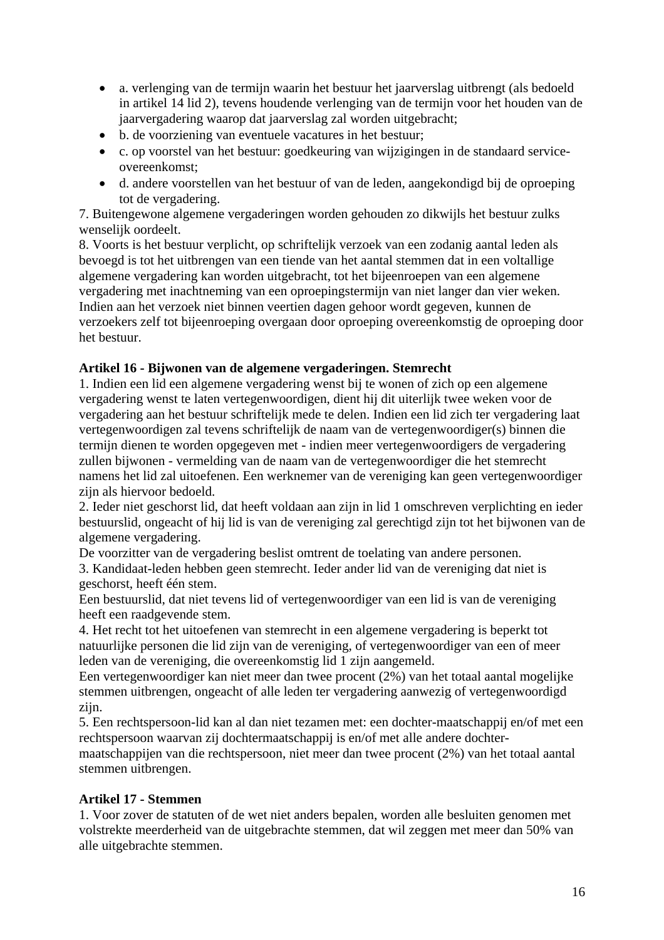- a. verlenging van de termijn waarin het bestuur het jaarverslag uitbrengt (als bedoeld in artikel 14 lid 2), tevens houdende verlenging van de termijn voor het houden van de jaarvergadering waarop dat jaarverslag zal worden uitgebracht;
- b. de voorziening van eventuele vacatures in het bestuur;
- c. op voorstel van het bestuur: goedkeuring van wijzigingen in de standaard serviceovereenkomst;
- d. andere voorstellen van het bestuur of van de leden, aangekondigd bij de oproeping tot de vergadering.

7. Buitengewone algemene vergaderingen worden gehouden zo dikwijls het bestuur zulks wenselijk oordeelt.

8. Voorts is het bestuur verplicht, op schriftelijk verzoek van een zodanig aantal leden als bevoegd is tot het uitbrengen van een tiende van het aantal stemmen dat in een voltallige algemene vergadering kan worden uitgebracht, tot het bijeenroepen van een algemene vergadering met inachtneming van een oproepingstermijn van niet langer dan vier weken. Indien aan het verzoek niet binnen veertien dagen gehoor wordt gegeven, kunnen de verzoekers zelf tot bijeenroeping overgaan door oproeping overeenkomstig de oproeping door het bestuur.

## **Artikel 16 - Bijwonen van de algemene vergaderingen. Stemrecht**

1. Indien een lid een algemene vergadering wenst bij te wonen of zich op een algemene vergadering wenst te laten vertegenwoordigen, dient hij dit uiterlijk twee weken voor de vergadering aan het bestuur schriftelijk mede te delen. Indien een lid zich ter vergadering laat vertegenwoordigen zal tevens schriftelijk de naam van de vertegenwoordiger(s) binnen die termijn dienen te worden opgegeven met - indien meer vertegenwoordigers de vergadering zullen bijwonen - vermelding van de naam van de vertegenwoordiger die het stemrecht namens het lid zal uitoefenen. Een werknemer van de vereniging kan geen vertegenwoordiger zijn als hiervoor bedoeld.

2. Ieder niet geschorst lid, dat heeft voldaan aan zijn in lid 1 omschreven verplichting en ieder bestuurslid, ongeacht of hij lid is van de vereniging zal gerechtigd zijn tot het bijwonen van de algemene vergadering.

De voorzitter van de vergadering beslist omtrent de toelating van andere personen.

3. Kandidaat-leden hebben geen stemrecht. Ieder ander lid van de vereniging dat niet is geschorst, heeft één stem.

Een bestuurslid, dat niet tevens lid of vertegenwoordiger van een lid is van de vereniging heeft een raadgevende stem.

4. Het recht tot het uitoefenen van stemrecht in een algemene vergadering is beperkt tot natuurlijke personen die lid zijn van de vereniging, of vertegenwoordiger van een of meer leden van de vereniging, die overeenkomstig lid 1 zijn aangemeld.

Een vertegenwoordiger kan niet meer dan twee procent (2%) van het totaal aantal mogelijke stemmen uitbrengen, ongeacht of alle leden ter vergadering aanwezig of vertegenwoordigd zijn.

5. Een rechtspersoon-lid kan al dan niet tezamen met: een dochter-maatschappij en/of met een rechtspersoon waarvan zij dochtermaatschappij is en/of met alle andere dochter-

maatschappijen van die rechtspersoon, niet meer dan twee procent (2%) van het totaal aantal stemmen uitbrengen.

## **Artikel 17 - Stemmen**

1. Voor zover de statuten of de wet niet anders bepalen, worden alle besluiten genomen met volstrekte meerderheid van de uitgebrachte stemmen, dat wil zeggen met meer dan 50% van alle uitgebrachte stemmen.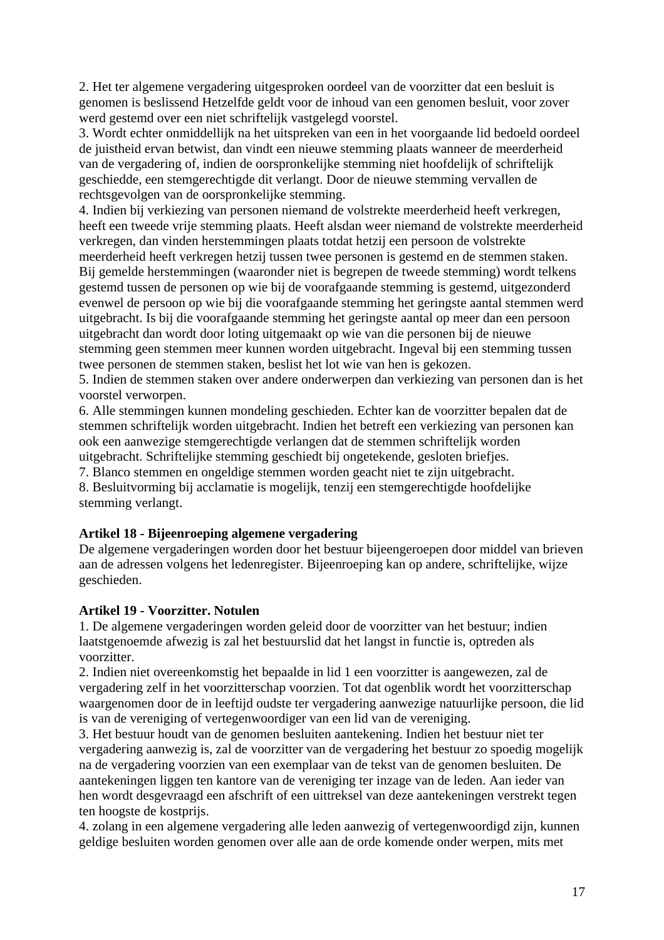2. Het ter algemene vergadering uitgesproken oordeel van de voorzitter dat een besluit is genomen is beslissend Hetzelfde geldt voor de inhoud van een genomen besluit, voor zover werd gestemd over een niet schriftelijk vastgelegd voorstel.

3. Wordt echter onmiddellijk na het uitspreken van een in het voorgaande lid bedoeld oordeel de juistheid ervan betwist, dan vindt een nieuwe stemming plaats wanneer de meerderheid van de vergadering of, indien de oorspronkelijke stemming niet hoofdelijk of schriftelijk geschiedde, een stemgerechtigde dit verlangt. Door de nieuwe stemming vervallen de rechtsgevolgen van de oorspronkelijke stemming.

4. Indien bij verkiezing van personen niemand de volstrekte meerderheid heeft verkregen, heeft een tweede vrije stemming plaats. Heeft alsdan weer niemand de volstrekte meerderheid verkregen, dan vinden herstemmingen plaats totdat hetzij een persoon de volstrekte meerderheid heeft verkregen hetzij tussen twee personen is gestemd en de stemmen staken. Bij gemelde herstemmingen (waaronder niet is begrepen de tweede stemming) wordt telkens gestemd tussen de personen op wie bij de voorafgaande stemming is gestemd, uitgezonderd evenwel de persoon op wie bij die voorafgaande stemming het geringste aantal stemmen werd uitgebracht. Is bij die voorafgaande stemming het geringste aantal op meer dan een persoon uitgebracht dan wordt door loting uitgemaakt op wie van die personen bij de nieuwe stemming geen stemmen meer kunnen worden uitgebracht. Ingeval bij een stemming tussen twee personen de stemmen staken, beslist het lot wie van hen is gekozen.

5. Indien de stemmen staken over andere onderwerpen dan verkiezing van personen dan is het voorstel verworpen.

6. Alle stemmingen kunnen mondeling geschieden. Echter kan de voorzitter bepalen dat de stemmen schriftelijk worden uitgebracht. Indien het betreft een verkiezing van personen kan ook een aanwezige stemgerechtigde verlangen dat de stemmen schriftelijk worden uitgebracht. Schriftelijke stemming geschiedt bij ongetekende, gesloten briefjes.

7. Blanco stemmen en ongeldige stemmen worden geacht niet te zijn uitgebracht.

8. Besluitvorming bij acclamatie is mogelijk, tenzij een stemgerechtigde hoofdelijke stemming verlangt.

## **Artikel 18 - Bijeenroeping algemene vergadering**

De algemene vergaderingen worden door het bestuur bijeengeroepen door middel van brieven aan de adressen volgens het ledenregister. Bijeenroeping kan op andere, schriftelijke, wijze geschieden.

## **Artikel 19 - Voorzitter. Notulen**

1. De algemene vergaderingen worden geleid door de voorzitter van het bestuur; indien laatstgenoemde afwezig is zal het bestuurslid dat het langst in functie is, optreden als voorzitter.

2. Indien niet overeenkomstig het bepaalde in lid 1 een voorzitter is aangewezen, zal de vergadering zelf in het voorzitterschap voorzien. Tot dat ogenblik wordt het voorzitterschap waargenomen door de in leeftijd oudste ter vergadering aanwezige natuurlijke persoon, die lid is van de vereniging of vertegenwoordiger van een lid van de vereniging.

3. Het bestuur houdt van de genomen besluiten aantekening. Indien het bestuur niet ter vergadering aanwezig is, zal de voorzitter van de vergadering het bestuur zo spoedig mogelijk na de vergadering voorzien van een exemplaar van de tekst van de genomen besluiten. De aantekeningen liggen ten kantore van de vereniging ter inzage van de leden. Aan ieder van hen wordt desgevraagd een afschrift of een uittreksel van deze aantekeningen verstrekt tegen ten hoogste de kostprijs.

4. zolang in een algemene vergadering alle leden aanwezig of vertegenwoordigd zijn, kunnen geldige besluiten worden genomen over alle aan de orde komende onder werpen, mits met